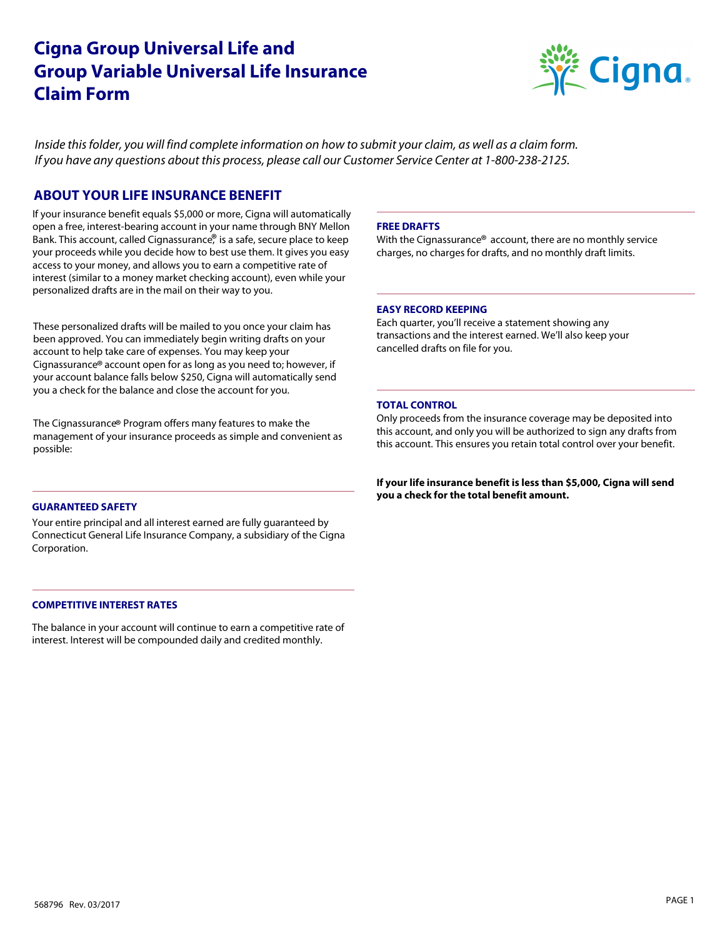# **Cigna Group Universal Life and Group Variable Universal Life Insurance Claim Form**



*Inside this folder, you will find complete information on how to submit your claim, as well as a claim form. If you have any questions about this process, please call our Customer Service Center at 1-800-238-2125.* 

# **ABOUT YOUR LIFE INSURANCE BENEFIT**

Bank. This account, called Cignassurance,<sup>®</sup> is a safe, secure place to keep If your insurance benefit equals \$5,000 or more, Cigna will automatically open a free, interest-bearing account in your name through BNY Mellon your proceeds while you decide how to best use them. It gives you easy access to your money, and allows you to earn a competitive rate of interest (similar to a money market checking account), even while your personalized drafts are in the mail on their way to you.

Cignassurance® account open for as long as you need to; however, if These personalized drafts will be mailed to you once your claim has been approved. You can immediately begin writing drafts on your account to help take care of expenses. You may keep your your account balance falls below \$250, Cigna will automatically send you a check for the balance and close the account for you.

The Cignassurance® Program offers many features to make the management of your insurance proceeds as simple and convenient as possible:

# **GUARANTEED SAFETY**

Your entire principal and all interest earned are fully guaranteed by Connecticut General Life Insurance Company, a subsidiary of the Cigna Corporation.

# **COMPETITIVE INTEREST RATES**

The balance in your account will continue to earn a competitive rate of interest. Interest will be compounded daily and credited monthly.

### **FREE DRAFTS**

With the Cignassurance® account, there are no monthly service charges, no charges for drafts, and no monthly draft limits.

# **EASY RECORD KEEPING**

Each quarter, you'll receive a statement showing any transactions and the interest earned. We'll also keep your cancelled drafts on file for you.

# **TOTAL CONTROL**

Only proceeds from the insurance coverage may be deposited into this account, and only you will be authorized to sign any drafts from this account. This ensures you retain total control over your benefit.

**If your life insurance benefit is less than \$5,000, Cigna will send you a check for the total benefit amount.**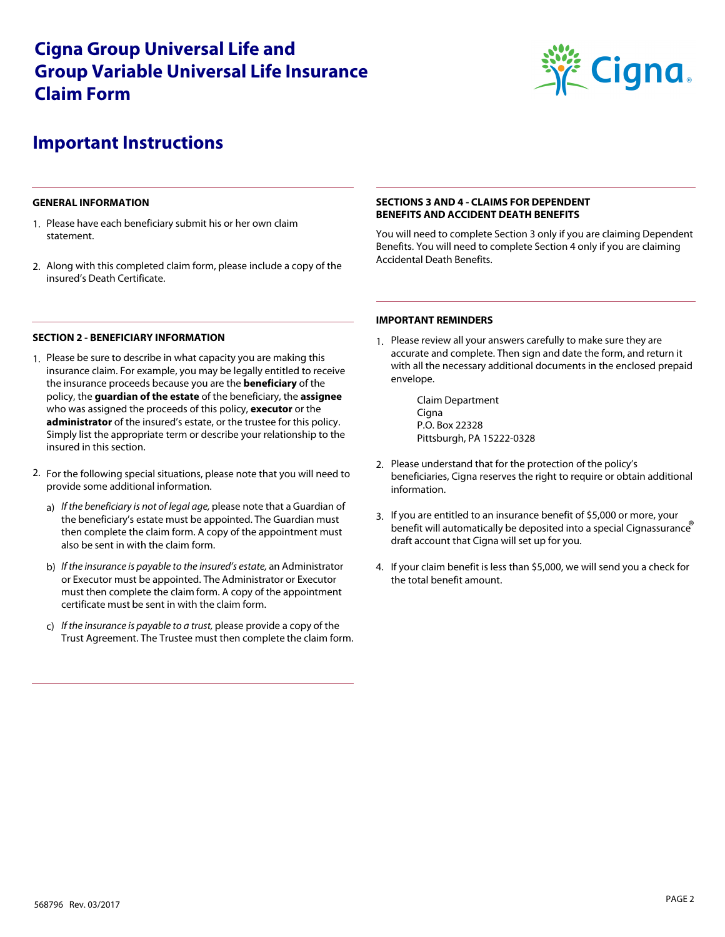# **Cigna Group Universal Life and Group Variable Universal Life Insurance Claim Form**



# **Important Instructions**

### **GENERAL INFORMATION**

- 1. Please have each beneficiary submit his or her own claim statement.
- 2. Along with this completed claim form, please include a copy of the insured's Death Certificate.

# **SECTIONS 3 AND 4 - CLAIMS FOR DEPENDENT BENEFITS AND ACCIDENT DEATH BENEFITS**

You will need to complete Section 3 only if you are claiming Dependent Benefits. You will need to complete Section 4 only if you are claiming Accidental Death Benefits.

# **IMPORTANT REMINDERS**

1. Please review all your answers carefully to make sure they are accurate and complete. Then sign and date the form, and return it with all the necessary additional documents in the enclosed prepaid envelope.

> Claim Department Cigna P.O. Box 22328 Pittsburgh, PA 15222-0328

- 2. Please understand that for the protection of the policy's beneficiaries, Cigna reserves the right to require or obtain additional information.
- benefit will automatically be deposited into a special Cignassurance If you are entitled to an insurance benefit of \$5,000 or more, your 3. draft account that Cigna will set up for you.
- 4. If your claim benefit is less than \$5,000, we will send you a check for the total benefit amount.

#### **SECTION 2 - BENEFICIARY INFORMATION**

- 1. Please be sure to describe in what capacity you are making this insurance claim. For example, you may be legally entitled to receive the insurance proceeds because you are the **beneficiary** of the policy, the **guardian of the estate** of the beneficiary, the **assignee** who was assigned the proceeds of this policy, **executor** or the **administrator** of the insured's estate, or the trustee for this policy. Simply list the appropriate term or describe your relationship to the insured in this section.
- 2. For the following special situations, please note that you will need to provide some additional information.
	- a) *If the beneficiary is not of legal age,* please note that a Guardian of the beneficiary's estate must be appointed. The Guardian must then complete the claim form. A copy of the appointment must also be sent in with the claim form.
	- b) *If the insurance is payable to the insured's estate,* an Administrator or Executor must be appointed. The Administrator or Executor must then complete the claim form. A copy of the appointment certificate must be sent in with the claim form.
	- c) *If the insurance is payable to a trust,* please provide a copy of the Trust Agreement. The Trustee must then complete the claim form.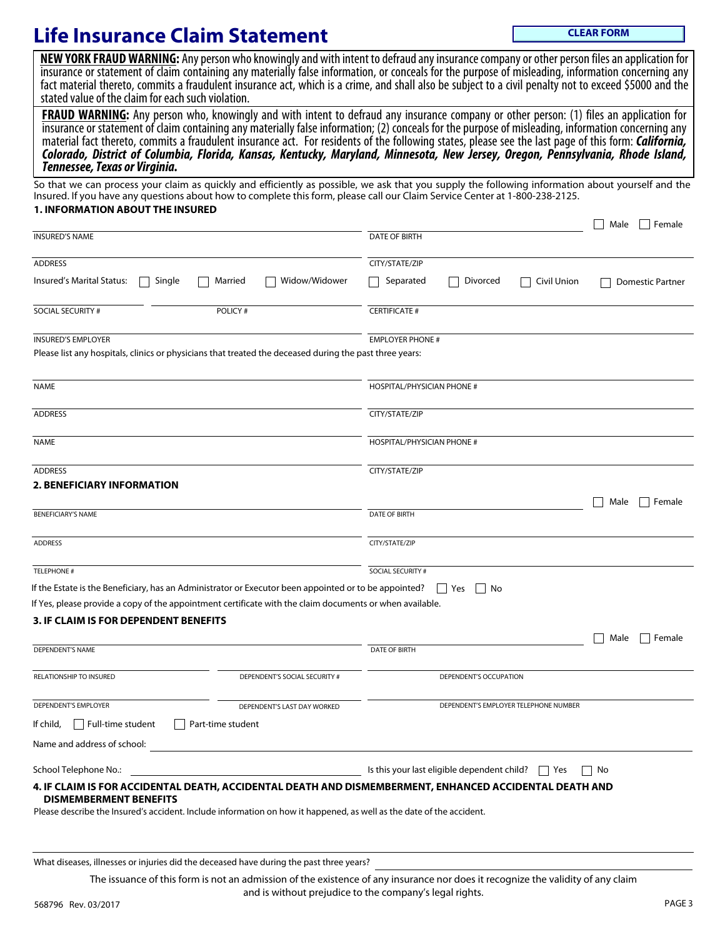# **Life Insurance Claim Statement**

**CLEAR FORM**

NEW YORK FRAUD WARNING: Any person who knowingly and with intent to defraud any insurance company or other person files an application for insurance or statement of claim containing any materially false information, or conceals for the purpose of misleading, information concerning any fact material thereto, commits a fraudulent insurance act, which is a crime, and shall also be subject to a civil penalty not to exceed \$5000 and the stated value of the claim for each such violation.

**FRAUD WARNING:** Any person who, knowingly and with intent to defraud any insurance company or other person: (1) files an application for insurance or statement of claim containing any materially false information; (2) conceals for the purpose of misleading, information concerning any material fact thereto, commits a fraudulent insurance act. For residents of the following states, please see the last page of this form: *California, Colorado, District of Columbia, Florida, Kansas, Kentucky, Maryland, Minnesota, New Jersey, Oregon, Pennsylvania, Rhode Island, Tennessee, Texas or Virginia.*

So that we can process your claim as quickly and efficiently as possible, we ask that you supply the following information about yourself and the Insured. If you have any questions about how to complete this form, please call our Claim Service Center at 1-800-238-2125.

# **1. INFORMATION ABOUT THE INSURED**

| Divorced<br>Civil Union                                          |                                                                                                                                                                                                                                                                                                                                            |
|------------------------------------------------------------------|--------------------------------------------------------------------------------------------------------------------------------------------------------------------------------------------------------------------------------------------------------------------------------------------------------------------------------------------|
|                                                                  |                                                                                                                                                                                                                                                                                                                                            |
|                                                                  |                                                                                                                                                                                                                                                                                                                                            |
|                                                                  | <b>Domestic Partner</b>                                                                                                                                                                                                                                                                                                                    |
|                                                                  |                                                                                                                                                                                                                                                                                                                                            |
| <b>EMPLOYER PHONE #</b>                                          |                                                                                                                                                                                                                                                                                                                                            |
| HOSPITAL/PHYSICIAN PHONE #                                       |                                                                                                                                                                                                                                                                                                                                            |
|                                                                  |                                                                                                                                                                                                                                                                                                                                            |
| HOSPITAL/PHYSICIAN PHONE #                                       |                                                                                                                                                                                                                                                                                                                                            |
|                                                                  |                                                                                                                                                                                                                                                                                                                                            |
|                                                                  |                                                                                                                                                                                                                                                                                                                                            |
|                                                                  | Female<br>Male                                                                                                                                                                                                                                                                                                                             |
|                                                                  |                                                                                                                                                                                                                                                                                                                                            |
|                                                                  |                                                                                                                                                                                                                                                                                                                                            |
|                                                                  |                                                                                                                                                                                                                                                                                                                                            |
| Yes<br>    No                                                    |                                                                                                                                                                                                                                                                                                                                            |
|                                                                  |                                                                                                                                                                                                                                                                                                                                            |
|                                                                  |                                                                                                                                                                                                                                                                                                                                            |
|                                                                  | Female<br>Male                                                                                                                                                                                                                                                                                                                             |
|                                                                  |                                                                                                                                                                                                                                                                                                                                            |
| DEPENDENT'S OCCUPATION                                           |                                                                                                                                                                                                                                                                                                                                            |
| DEPENDENT'S EMPLOYER TELEPHONE NUMBER                            |                                                                                                                                                                                                                                                                                                                                            |
|                                                                  |                                                                                                                                                                                                                                                                                                                                            |
|                                                                  |                                                                                                                                                                                                                                                                                                                                            |
| Is this your last eligible dependent child? $\Box$ Yes<br>    No |                                                                                                                                                                                                                                                                                                                                            |
|                                                                  |                                                                                                                                                                                                                                                                                                                                            |
|                                                                  | If Yes, please provide a copy of the appointment certificate with the claim documents or when available.<br>4. IF CLAIM IS FOR ACCIDENTAL DEATH, ACCIDENTAL DEATH AND DISMEMBERMENT, ENHANCED ACCIDENTAL DEATH AND<br>Please describe the Insured's accident. Include information on how it happened, as well as the date of the accident. |

What diseases, illnesses or injuries did the deceased have during the past three years?

568796 Rev. 03/2017 PAGE 3 The issuance of this form is not an admission of the existence of any insurance nor does it recognize the validity of any claim and is without prejudice to the company's legal rights.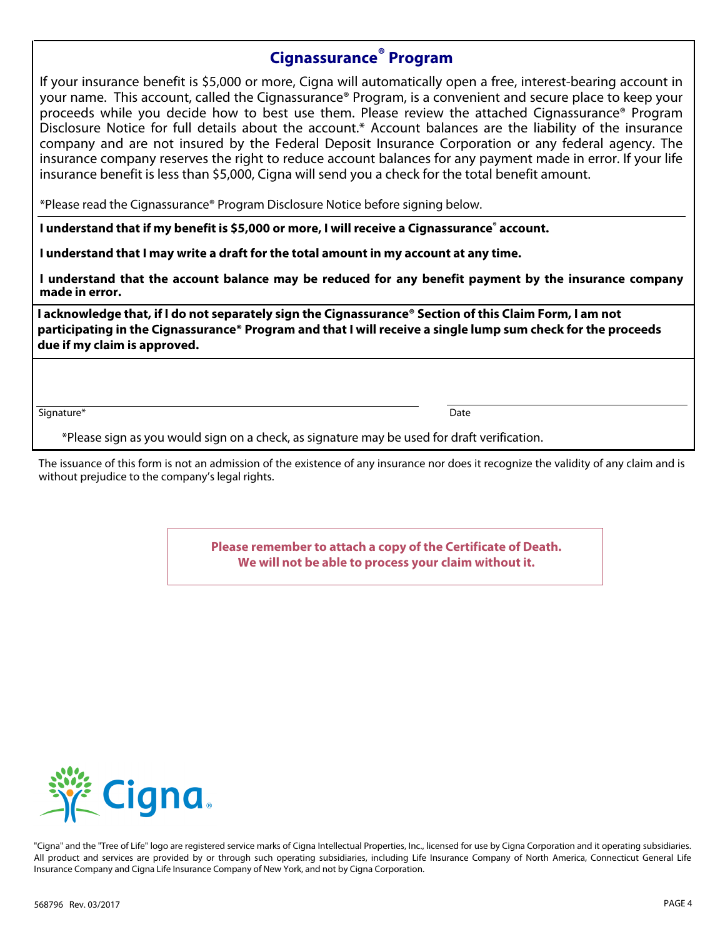# **Cignassurance® Program**

If your insurance benefit is \$5,000 or more, Cigna will automatically open a free, interest-bearing account in your name. This account, called the Cignassurance® Program, is a convenient and secure place to keep your proceeds while you decide how to best use them. Please review the attached Cignassurance® Program Disclosure Notice for full details about the account.\* Account balances are the liability of the insurance company and are not insured by the Federal Deposit Insurance Corporation or any federal agency. The insurance company reserves the right to reduce account balances for any payment made in error. If your life insurance benefit is less than \$5,000, Cigna will send you a check for the total benefit amount.

\*Please read the Cignassurance® Program Disclosure Notice before signing below.

**I understand that if my benefit is \$5,000 or more, I will receive a Cignassurance® account.** 

**I understand that I may write a draft for the total amount in my account at any time.** 

**I understand that the account balance may be reduced for any benefit payment by the insurance company made in error.**

**I acknowledge that, if I do not separately sign the Cignassurance® Section of this Claim Form, I am not participating in the Cignassurance® Program and that I will receive a single lump sum check for the proceeds due if my claim is approved.**

Signature\* Date

\*Please sign as you would sign on a check, as signature may be used for draft verification.

The issuance of this form is not an admission of the existence of any insurance nor does it recognize the validity of any claim and is without prejudice to the company's legal rights.

> **Please remember to attach a copy of the Certificate of Death. We will not be able to process your claim without it.**



"Cigna" and the "Tree of Life" logo are registered service marks of Cigna Intellectual Properties, Inc., licensed for use by Cigna Corporation and it operating subsidiaries. All product and services are provided by or through such operating subsidiaries, including Life Insurance Company of North America, Connecticut General Life Insurance Company and Cigna Life Insurance Company of New York, and not by Cigna Corporation.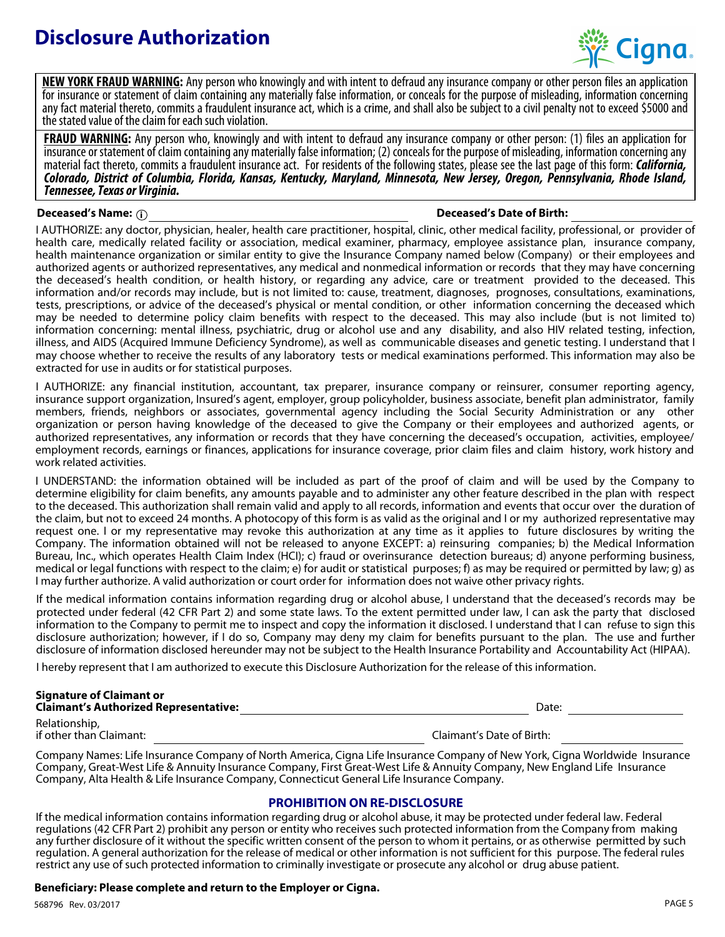# **Disclosure Authorization**



**NEW YORK FRAUD WARNING:** Any person who knowingly and with intent to defraud any insurance company or other person files an application for insurance or statement of claim containing any materially false information, or conceals for the purpose of misleading, information concerning any fact material thereto, commits a fraudulent insurance act, which is a crime, and shall also be subject to a civil penalty not to exceed \$5000 and the stated value of the claim for each such violation.

**FRAUD WARNING:** Any person who, knowingly and with intent to defraud any insurance company or other person: (1) files an application for insurance or statement of claim containing any materially false information; (2) conceals for the purpose of misleading, information concerning any material fact thereto, commits a fraudulent insurance act. For residents of the following states, please see the last page of this form: *California, Colorado, District of Columbia, Florida, Kansas, Kentucky, Maryland, Minnesota, New Jersey, Oregon, Pennsylvania, Rhode Island, Tennessee, Texas or Virginia.*

# **Deceased's Name: i Deceased's Date of Birth:**

I AUTHORIZE: any doctor, physician, healer, health care practitioner, hospital, clinic, other medical facility, professional, or provider of health care, medically related facility or association, medical examiner, pharmacy, employee assistance plan, insurance company, health maintenance organization or similar entity to give the Insurance Company named below (Company) or their employees and authorized agents or authorized representatives, any medical and nonmedical information or records that they may have concerning the deceased's health condition, or health history, or regarding any advice, care or treatment provided to the deceased. This information and/or records may include, but is not limited to: cause, treatment, diagnoses, prognoses, consultations, examinations, tests, prescriptions, or advice of the deceased's physical or mental condition, or other information concerning the deceased which may be needed to determine policy claim benefits with respect to the deceased. This may also include (but is not limited to) information concerning: mental illness, psychiatric, drug or alcohol use and any disability, and also HIV related testing, infection, illness, and AIDS (Acquired Immune Deficiency Syndrome), as well as communicable diseases and genetic testing. I understand that I may choose whether to receive the results of any laboratory tests or medical examinations performed. This information may also be extracted for use in audits or for statistical purposes.

I AUTHORIZE: any financial institution, accountant, tax preparer, insurance company or reinsurer, consumer reporting agency, insurance support organization, Insured's agent, employer, group policyholder, business associate, benefit plan administrator, family members, friends, neighbors or associates, governmental agency including the Social Security Administration or any other organization or person having knowledge of the deceased to give the Company or their employees and authorized agents, or authorized representatives, any information or records that they have concerning the deceased's occupation, activities, employee/ employment records, earnings or finances, applications for insurance coverage, prior claim files and claim history, work history and work related activities.

I UNDERSTAND: the information obtained will be included as part of the proof of claim and will be used by the Company to determine eligibility for claim benefits, any amounts payable and to administer any other feature described in the plan with respect to the deceased. This authorization shall remain valid and apply to all records, information and events that occur over the duration of the claim, but not to exceed 24 months. A photocopy of this form is as valid as the original and I or my authorized representative may request one. I or my representative may revoke this authorization at any time as it applies to future disclosures by writing the Company. The information obtained will not be released to anyone EXCEPT: a) reinsuring companies; b) the Medical Information Bureau, Inc., which operates Health Claim Index (HCI); c) fraud or overinsurance detection bureaus; d) anyone performing business, medical or legal functions with respect to the claim; e) for audit or statistical purposes; f) as may be required or permitted by law; g) as I may further authorize. A valid authorization or court order for information does not waive other privacy rights.

If the medical information contains information regarding drug or alcohol abuse, I understand that the deceased's records may be protected under federal (42 CFR Part 2) and some state laws. To the extent permitted under law, I can ask the party that disclosed information to the Company to permit me to inspect and copy the information it disclosed. I understand that I can refuse to sign this disclosure authorization; however, if I do so, Company may deny my claim for benefits pursuant to the plan. The use and further disclosure of information disclosed hereunder may not be subject to the Health Insurance Portability and Accountability Act (HIPAA).

I hereby represent that I am authorized to execute this Disclosure Authorization for the release of this information.

#### Date: **Signature of Claimant or Claimant's Authorized Representative:**  Relationship, if other than Claimant: Claimant's Date of Birth:

Company Names: Life Insurance Company of North America, Cigna Life Insurance Company of New York, Cigna Worldwide Insurance Company, Great-West Life & Annuity Insurance Company, First Great-West Life & Annuity Company, New England Life Insurance Company, Alta Health & Life Insurance Company, Connecticut General Life Insurance Company.

# **PROHIBITION ON RE-DISCLOSURE**

If the medical information contains information regarding drug or alcohol abuse, it may be protected under federal law. Federal regulations (42 CFR Part 2) prohibit any person or entity who receives such protected information from the Company from making any further disclosure of it without the specific written consent of the person to whom it pertains, or as otherwise permitted by such regulation. A general authorization for the release of medical or other information is not sufficient for this purpose. The federal rules restrict any use of such protected information to criminally investigate or prosecute any alcohol or drug abuse patient.

# **Beneficiary: Please complete and return to the Employer or Cigna.**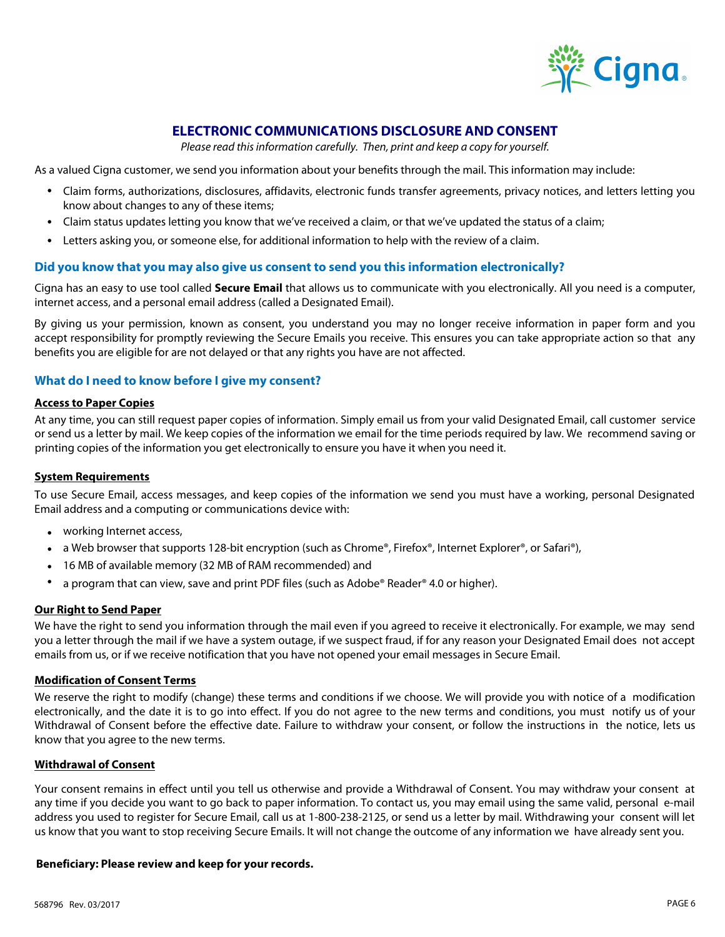

# **ELECTRONIC COMMUNICATIONS DISCLOSURE AND CONSENT**

*Please read this information carefully. Then, print and keep a copy for yourself.* 

As a valued Cigna customer, we send you information about your benefits through the mail. This information may include:

- Claim forms, authorizations, disclosures, affidavits, electronic funds transfer agreements, privacy notices, and letters letting you know about changes to any of these items;
- Claim status updates letting you know that we've received a claim, or that we've updated the status of a claim;
- Letters asking you, or someone else, for additional information to help with the review of a claim.

# **Did you know that you may also give us consent to send you this information electronically?**

Cigna has an easy to use tool called **Secure Email** that allows us to communicate with you electronically. All you need is a computer, internet access, and a personal email address (called a Designated Email).

By giving us your permission, known as consent, you understand you may no longer receive information in paper form and you accept responsibility for promptly reviewing the Secure Emails you receive. This ensures you can take appropriate action so that any benefits you are eligible for are not delayed or that any rights you have are not affected.

# **What do I need to know before I give my consent?**

# **Access to Paper Copies**

At any time, you can still request paper copies of information. Simply email us from your valid Designated Email, call customer service or send us a letter by mail. We keep copies of the information we email for the time periods required by law. We recommend saving or printing copies of the information you get electronically to ensure you have it when you need it.

# **System Requirements**

To use Secure Email, access messages, and keep copies of the information we send you must have a working, personal Designated Email address and a computing or communications device with:

- working Internet access,
- a Web browser that supports 128-bit encryption (such as Chrome®, Firefox®, Internet Explorer®, or Safari®),
- 16 MB of available memory (32 MB of RAM recommended) and
- a program that can view, save and print PDF files (such as Adobe® Reader® 4.0 or higher).

#### **Our Right to Send Paper**

We have the right to send you information through the mail even if you agreed to receive it electronically. For example, we may send you a letter through the mail if we have a system outage, if we suspect fraud, if for any reason your Designated Email does not accept emails from us, or if we receive notification that you have not opened your email messages in Secure Email.

# **Modification of Consent Terms**

We reserve the right to modify (change) these terms and conditions if we choose. We will provide you with notice of a modification electronically, and the date it is to go into effect. If you do not agree to the new terms and conditions, you must notify us of your Withdrawal of Consent before the effective date. Failure to withdraw your consent, or follow the instructions in the notice, lets us know that you agree to the new terms.

# **Withdrawal of Consent**

Your consent remains in effect until you tell us otherwise and provide a Withdrawal of Consent. You may withdraw your consent at any time if you decide you want to go back to paper information. To contact us, you may email using the same valid, personal e-mail address you used to register for Secure Email, call us at 1-800-238-2125, or send us a letter by mail. Withdrawing your consent will let us know that you want to stop receiving Secure Emails. It will not change the outcome of any information we have already sent you.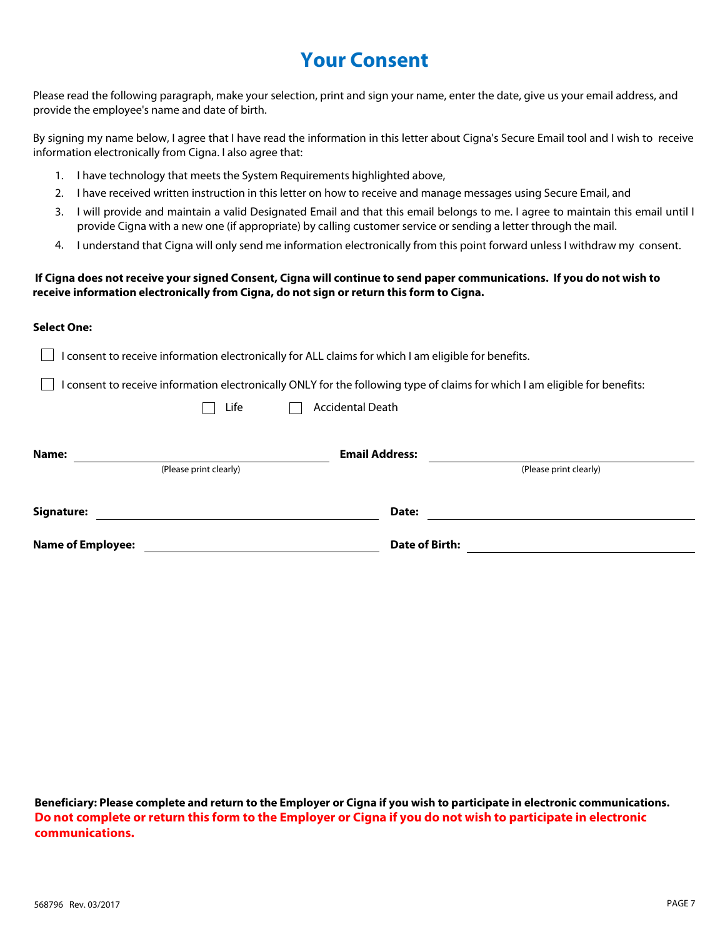# **Your Consent**

Please read the following paragraph, make your selection, print and sign your name, enter the date, give us your email address, and provide the employee's name and date of birth.

By signing my name below, I agree that I have read the information in this letter about Cigna's Secure Email tool and I wish to receive information electronically from Cigna. I also agree that:

- 1. I have technology that meets the System Requirements highlighted above,
- 2. I have received written instruction in this letter on how to receive and manage messages using Secure Email, and
- 3. I will provide and maintain a valid Designated Email and that this email belongs to me. I agree to maintain this email until I provide Cigna with a new one (if appropriate) by calling customer service or sending a letter through the mail.
- 4. I understand that Cigna will only send me information electronically from this point forward unless I withdraw my consent.

# **If Cigna does not receive your signed Consent, Cigna will continue to send paper communications. If you do not wish to receive information electronically from Cigna, do not sign or return this form to Cigna.**

# **Select One:**

| I consent to receive information electronically for ALL claims for which I am eligible for benefits. |                         |                                                                                                                             |
|------------------------------------------------------------------------------------------------------|-------------------------|-----------------------------------------------------------------------------------------------------------------------------|
|                                                                                                      |                         | I consent to receive information electronically ONLY for the following type of claims for which I am eligible for benefits: |
| Life                                                                                                 | <b>Accidental Death</b> |                                                                                                                             |
|                                                                                                      |                         |                                                                                                                             |
| Name:                                                                                                | <b>Email Address:</b>   |                                                                                                                             |
| (Please print clearly)                                                                               |                         | (Please print clearly)                                                                                                      |
| Signature:                                                                                           | Date:                   |                                                                                                                             |
| <b>Name of Employee:</b>                                                                             | Date of Birth:          |                                                                                                                             |

**Beneficiary: Please complete and return to the Employer or Cigna if you wish to participate in electronic communications. Do not complete or return this form to the Employer or Cigna if you do not wish to participate in electronic communications.**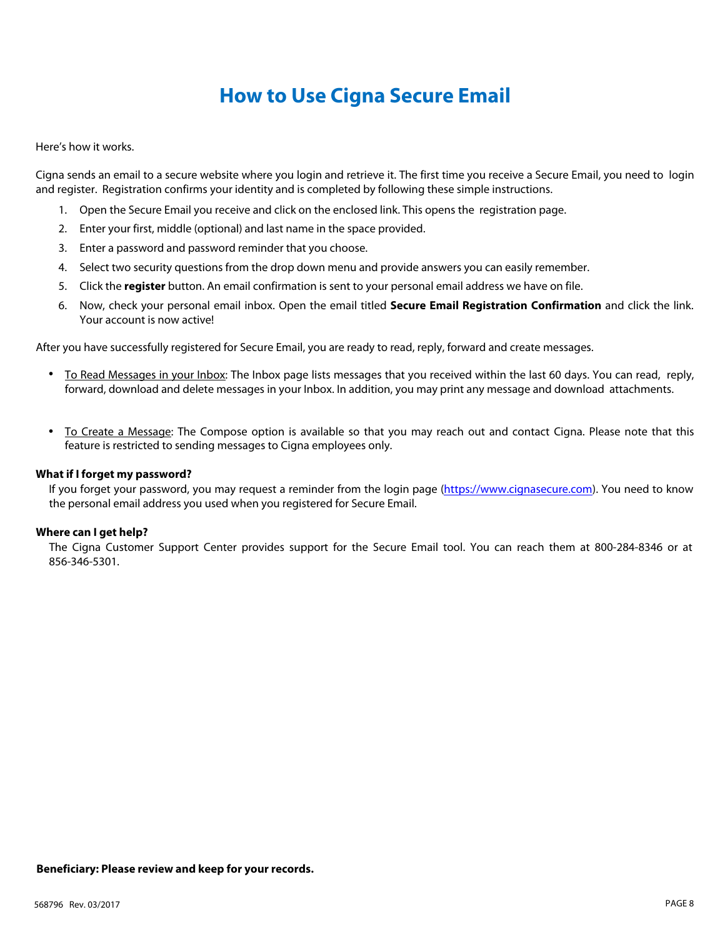# **How to Use Cigna Secure Email**

Here's how it works.

Cigna sends an email to a secure website where you login and retrieve it. The first time you receive a Secure Email, you need to login and register. Registration confirms your identity and is completed by following these simple instructions.

- 1. Open the Secure Email you receive and click on the enclosed link. This opens the registration page.
- 2. Enter your first, middle (optional) and last name in the space provided.
- 3. Enter a password and password reminder that you choose.
- 4. Select two security questions from the drop down menu and provide answers you can easily remember.
- 5. Click the **register** button. An email confirmation is sent to your personal email address we have on file.
- 6. Now, check your personal email inbox. Open the email titled **Secure Email Registration Confirmation** and click the link. Your account is now active!

After you have successfully registered for Secure Email, you are ready to read, reply, forward and create messages.

- To Read Messages in your Inbox: The Inbox page lists messages that you received within the last 60 days. You can read, reply, forward, download and delete messages in your Inbox. In addition, you may print any message and download attachments. •
- To Create a Message: The Compose option is available so that you may reach out and contact Cigna. Please note that this feature is restricted to sending messages to Cigna employees only.

# **What if I forget my password?**

If you forget your password, you may request a reminder from the login page [\(https://www.cignasecure.com](https://www3.cignasecure.com/s/login?b=cigna-n)). You need to know the personal email address you used when you registered for Secure Email.

# **Where can I get help?**

The Cigna Customer Support Center provides support for the Secure Email tool. You can reach them at 800-284-8346 or at 856-346-5301.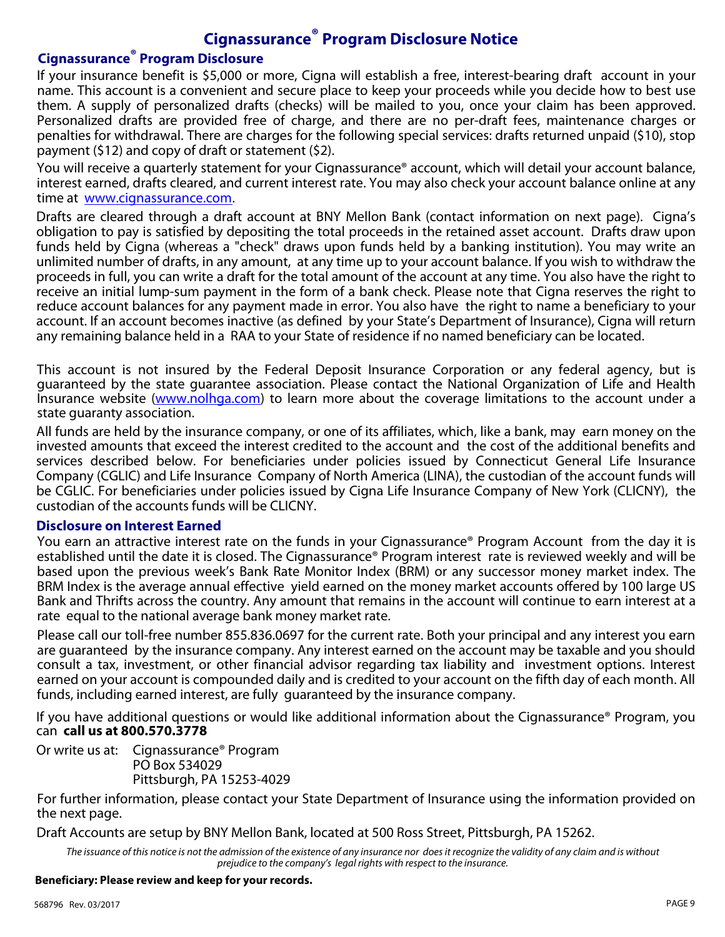# **Cignassurance® Program Disclosure Notice**

# **Cignassurance® Program Disclosure**

If your insurance benefit is \$5,000 or more, Cigna will establish a free, interest-bearing draft account in your name. This account is a convenient and secure place to keep your proceeds while you decide how to best use them. A supply of personalized drafts (checks) will be mailed to you, once your claim has been approved. Personalized drafts are provided free of charge, and there are no per-draft fees, maintenance charges or penalties for withdrawal. There are charges for the following special services: drafts returned unpaid (\$10), stop payment (\$12) and copy of draft or statement (\$2).

You will receive a quarterly statement for your Cignassurance® account, which will detail your account balance, interest earned, drafts cleared, and current interest rate. You may also check your account balance online at any time at [www.cignassurance.com](https://www.cignassurance.com/pages/login.aspx?ReturnUrl=%2f_layouts%2fAuthenticate.aspx%3fSource%3d%252f&Source=%2f).

Drafts are cleared through a draft account at BNY Mellon Bank (contact information on next page). Cigna's obligation to pay is satisfied by depositing the total proceeds in the retained asset account. Drafts draw upon funds held by Cigna (whereas a "check" draws upon funds held by a banking institution). You may write an unlimited number of drafts, in any amount, at any time up to your account balance. If you wish to withdraw the proceeds in full, you can write a draft for the total amount of the account at any time. You also have the right to receive an initial lump-sum payment in the form of a bank check. Please note that Cigna reserves the right to reduce account balances for any payment made in error. You also have the right to name a beneficiary to your account. If an account becomes inactive (as defined by your State's Department of Insurance), Cigna will return any remaining balance held in a RAA to your State of residence if no named beneficiary can be located.

This account is not insured by the Federal Deposit Insurance Corporation or any federal agency, but is guaranteed by the state guarantee association. Please contact the National Organization of Life and Health Insurance website [\(www.nolhga.com](http://www.nolhga.com/)) to learn more about the coverage limitations to the account under a state guaranty association.

All funds are held by the insurance company, or one of its affiliates, which, like a bank, may earn money on the invested amounts that exceed the interest credited to the account and the cost of the additional benefits and services described below. For beneficiaries under policies issued by Connecticut General Life Insurance Company (CGLIC) and Life Insurance Company of North America (LINA), the custodian of the account funds will be CGLIC. For beneficiaries under policies issued by Cigna Life Insurance Company of New York (CLICNY), the custodian of the accounts funds will be CLICNY.

# **Disclosure on Interest Earned**

You earn an attractive interest rate on the funds in your Cignassurance® Program Account from the day it is established until the date it is closed. The Cignassurance® Program interest rate is reviewed weekly and will be based upon the previous week's Bank Rate Monitor Index (BRM) or any successor money market index. The BRM Index is the average annual effective yield earned on the money market accounts offered by 100 large US Bank and Thrifts across the country. Any amount that remains in the account will continue to earn interest at a rate equal to the national average bank money market rate.

Please call our toll-free number 855.836.0697 for the current rate. Both your principal and any interest you earn are guaranteed by the insurance company. Any interest earned on the account may be taxable and you should consult a tax, investment, or other financial advisor regarding tax liability and investment options. Interest earned on your account is compounded daily and is credited to your account on the fifth day of each month. All funds, including earned interest, are fully guaranteed by the insurance company.

If you have additional questions or would like additional information about the Cignassurance® Program, you can **call us at 800.570.3778** 

Or write us at: Cignassurance® Program PO Box 534029 Pittsburgh, PA 15253-4029

For further information, please contact your State Department of Insurance using the information provided on the next page.

Draft Accounts are setup by BNY Mellon Bank, located at 500 Ross Street, Pittsburgh, PA 15262.

The issuance of this notice is not the admission of the existence of any insurance nor does it recognize the validity of any claim and is without *prejudice to the company's legal rights with respect to the insurance.*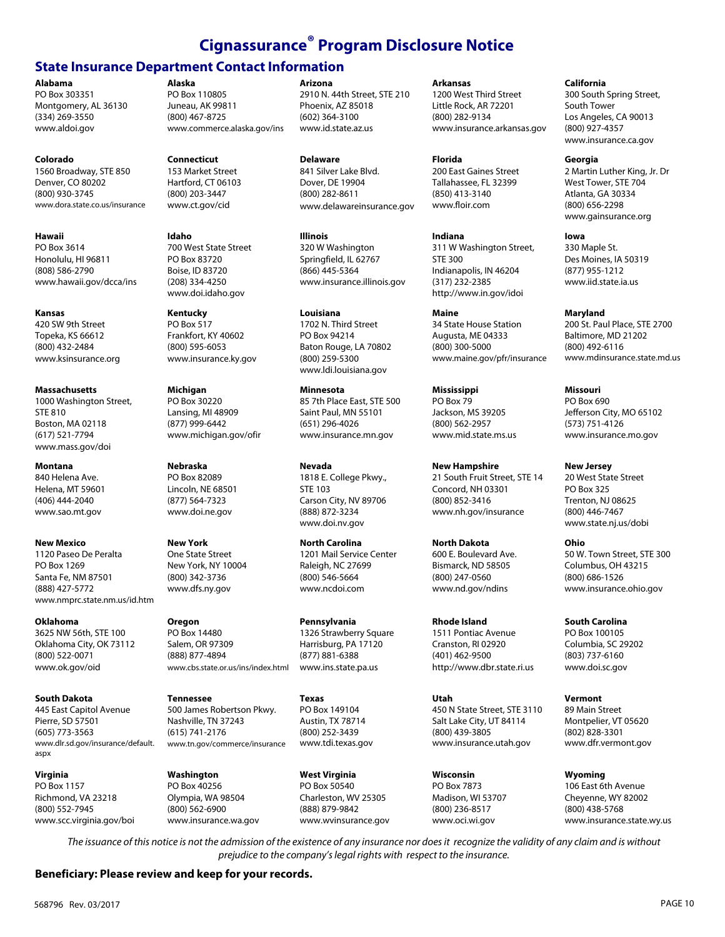# **Cignassurance® Program Disclosure Notice**

# **State Insurance Department Contact Information**

**Alabama**

PO Box 303351 Montgomery, AL 36130 (334) 269-3550 www.aldoi.gov

#### **Colorado**

1560 Broadway, STE 850 Denver, CO 80202 (800) 930-3745 www.dora.state.co.us/insurance

#### **Hawaii**

PO Box 3614 Honolulu, HI 96811 (808) 586-2790 www.hawaii.gov/dcca/ins

#### **Kansas**

420 SW 9th Street Topeka, KS 66612 (800) 432-2484 www.ksinsurance.org

#### **Massachusetts**

1000 Washington Street, STE 810 Boston, MA 02118 (617) 521-7794 www.mass.gov/doi

# **Montana**

840 Helena Ave. Helena, MT 59601 (406) 444-2040 www.sao.mt.gov

#### **New Mexico**

1120 Paseo De Peralta PO Box 1269 Santa Fe, NM 87501 (888) 427-5772 www.nmprc.state.nm.us/id.htm

# **Oklahoma**

3625 NW 56th, STE 100 Oklahoma City, OK 73112 (800) 522-0071 www.ok.gov/oid

#### **South Dakota**

445 East Capitol Avenue Pierre, SD 57501 (605) 773-3563 www.dlr.sd.gov/insurance/default. aspx

#### **Virginia**

PO Box 1157 Richmond, VA 23218 (800) 552-7945 www.scc.virginia.gov/boi

# **Alaska** PO Box 110805

Juneau, AK 99811 (800) 467-8725 www.commerce.alaska.gov/ins

#### **Connecticut**

153 Market Street Hartford, CT 06103 (800) 203-3447 www.ct.gov/cid

#### **Idaho**  700 West State Street PO Box 83720 Boise, ID 83720 (208) 334-4250 www.doi.idaho.gov

**Kentucky**  PO Box 517 Frankfort, KY 40602 (800) 595-6053 www.insurance.ky.gov

**Michigan**  PO Box 30220 Lansing, MI 48909 (877) 999-6442 www.michigan.gov/ofir

#### **Nebraska** PO Box 82089 Lincoln, NE 68501 (877) 564-7323 www.doi.ne.gov

**New York** One State Street New York, NY 10004 (800) 342-3736 www.dfs.ny.gov

#### **Oregon**  PO Box 14480 Salem, OR 97309 (888) 877-4894 www.cbs.state.or.us/ins/index.html

**Tennessee**  500 James Robertson Pkwy. Nashville, TN 37243 (615) 741-2176 www.tn.gov/commerce/insurance

**Washington**  PO Box 40256 Olympia, WA 98504 (800) 562-6900 www.insurance.wa.gov

### **Arizona**

2910 N. 44th Street, STE 210 Phoenix, AZ 85018 (602) 364-3100 www.id.state.az.us

**Delaware** 841 Silver Lake Blvd. Dover, DE 19904 (800) 282-8611 www.delawareinsurance.gov

**Illinois** 320 W Washington Springfield, IL 62767 (866) 445-5364 www.insurance.illinois.gov

**Louisiana**  1702 N. Third Street PO Box 94214 Baton Rouge, LA 70802 (800) 259-5300 www.ldi.louisiana.gov

**Minnesota**  85 7th Place East, STE 500 Saint Paul, MN 55101 (651) 296-4026 www.insurance.mn.gov

**Nevada** 1818 E. College Pkwy., STE 103 Carson City, NV 89706 (888) 872-3234 www.doi.nv.gov

**North Carolina** 1201 Mail Service Center Raleigh, NC 27699 (800) 546-5664 www.ncdoi.com

**Pennsylvania**  1326 Strawberry Square Harrisburg, PA 17120 (877) 881-6388 www.ins.state.pa.us

**Texas**  PO Box 149104 Austin, TX 78714 (800) 252-3439 www.tdi.texas.gov

**West Virginia** PO Box 50540 Charleston, WV 25305 (888) 879-9842 www.wvinsurance.gov **Arkansas**

1200 West Third Street Little Rock, AR 72201 (800) 282-9134 www.insurance.arkansas.gov

#### **Florida**

200 East Gaines Street Tallahassee, FL 32399 (850) 413-3140 www.floir.com

**Indiana**  311 W Washington Street, STE 300 Indianapolis, IN 46204 (317) 232-2385 http://www.in.gov/idoi

**Maine**  34 State House Station Augusta, ME 04333 (800) 300-5000 www.maine.gov/pfr/insurance

**Mississippi**  PO Box 79 Jackson, MS 39205 (800) 562-2957 www.mid.state.ms.us

**New Hampshire** 21 South Fruit Street, STE 14 Concord, NH 03301 (800) 852-3416 www.nh.gov/insurance

**North Dakota** 600 E. Boulevard Ave. Bismarck, ND 58505 (800) 247-0560 www.nd.gov/ndins

**Rhode Island** 1511 Pontiac Avenue Cranston, RI 02920 (401) 462-9500 http://www.dbr.state.ri.us

**Utah**  450 N State Street, STE 3110 Salt Lake City, UT 84114 (800) 439-3805 www.insurance.utah.gov

**Wisconsin**  PO Box 7873 Madison, WI 53707 (800) 236-8517 www.oci.wi.gov

**California**

300 South Spring Street, South Tower Los Angeles, CA 90013 (800) 927-4357 www.insurance.ca.gov

#### **Georgia**

2 Martin Luther King, Jr. Dr West Tower, STE 704 Atlanta, GA 30334 (800) 656-2298 www.gainsurance.org

**Iowa**

330 Maple St. Des Moines, IA 50319 (877) 955-1212 www.iid.state.ia.us

**Maryland**

200 St. Paul Place, STE 2700 Baltimore, MD 21202 (800) 492-6116 www.mdinsurance.state.md.us

**Missouri**  PO Box 690 Jefferson City, MO 65102 (573) 751-4126 www.insurance.mo.gov

# **New Jersey**

20 West State Street PO Box 325 Trenton, NJ 08625 (800) 446-7467 www.state.nj.us/dobi

**Ohio** 50 W. Town Street, STE 300 Columbus, OH 43215 (800) 686-1526 www.insurance.ohio.gov

**South Carolina** PO Box 100105 Columbia, SC 29202 (803) 737-6160 www.doi.sc.gov

**Vermont**  89 Main Street Montpelier, VT 05620 (802) 828-3301 www.dfr.vermont.gov

**Wyoming**  106 East 6th Avenue Cheyenne, WY 82002 (800) 438-5768 www.insurance.state.wy.us

*The issuance of this notice is not the admission of the existence of any insurance nor does it recognize the validity of any claim and is without prejudice to the company's legal rights with respect to the insurance.*